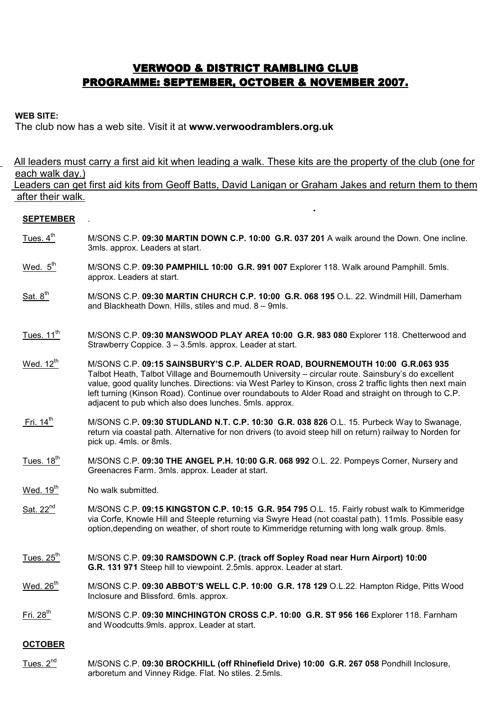# **VERWOOD & DISTRICT RAMBLING CLUB** PROGRAMME: SEPTEMBER, OCTOBER & NOVEMBER 2007.

### WEB SITE:

The club now has a web site. Visit it at www.verwoodramblers.org.uk

 All leaders must carry a first aid kit when leading a walk. These kits are the property of the club (one for each walk day.) Leaders can get first aid kits from Geoff Batts, David Lanigan or Graham Jakes and return them to them

# after their walk. ени с поставились с поставке с поставке с поставке с поставке с поставке с поставке с поставке с поставке с по<br>В село в село в село в село в село в село в село в село в село в село в село в село в село в село в село в сел

## **SEPTEMBER**

- Tues.  $4<sup>th</sup>$  M/SONS C.P. 09:30 MARTIN DOWN C.P. 10:00 G.R. 037 201 A walk around the Down. One incline. 3mls. approx. Leaders at start.
- Wed. 5<sup>th</sup> M/SONS C.P. 09:30 PAMPHILL 10:00 G.R. 991 007 Explorer 118. Walk around Pamphill. 5mls. approx. Leaders at start.
- Sat.  $8<sup>th</sup>$  M/SONS C.P. 09:30 MARTIN CHURCH C.P. 10:00 G.R. 068 195 O.L. 22. Windmill Hill, Damerham and Blackheath Down. Hills, stiles and mud. 8 – 9mls.
- Tues. 11<sup>th</sup> M/SONS C.P. 09:30 MANSWOOD PLAY AREA 10:00 G.R. 983 080 Explorer 118. Chetterwood and Strawberry Coppice. 3 – 3.5mls. approx. Leader at start.
- Wed. 12<sup>th</sup> M/SONS C.P. 09:15 SAINSBURY'S C.P. ALDER ROAD, BOURNEMOUTH 10:00 G.R.063 935 Talbot Heath, Talbot Village and Bournemouth University – circular route. Sainsbury's do excellent value, good quality lunches. Directions: via West Parley to Kinson, cross 2 traffic lights then next main left turning (Kinson Road). Continue over roundabouts to Alder Road and straight on through to C.P. adjacent to pub which also does lunches. 5mls. approx.
- Fri. 14<sup>th</sup> M/SONS C.P. 09:30 STUDLAND N.T. C.P. 10:30 G.R. 038 826 O.L. 15. Purbeck Way to Swanage, return via coastal path. Alternative for non drivers (to avoid steep hill on return) railway to Norden for pick up. 4mls. or 8mls.
- Tues. 18<sup>th</sup> M/SONS C.P. 09:30 THE ANGEL P.H. 10:00 G.R. 068 992 O.L. 22. Pompeys Corner, Nursery and Greenacres Farm. 3mls. approx. Leader at start.
- Wed.  $19<sup>th</sup>$  No walk submitted.
- Sat. 22<sup>nd</sup> M/SONS C.P. 09:15 KINGSTON C.P. 10:15 G.R. 954 795 O.L. 15. Fairly robust walk to Kimmeridge via Corfe, Knowle Hill and Steeple returning via Swyre Head (not coastal path). 11mls. Possible easy option,depending on weather, of short route to Kimmeridge returning with long walk group. 8mls.
- Tues. 25<sup>th</sup> M/SONS C.P. 09:30 RAMSDOWN C.P. (track off Sopley Road near Hurn Airport) 10:00 G.R. 131 971 Steep hill to viewpoint. 2.5mls. approx. Leader at start.
- Wed. 26<sup>th</sup> M/SONS C.P. 09:30 ABBOT'S WELL C.P. 10:00 G.R. 178 129 O.L.22. Hampton Ridge, Pitts Wood Inclosure and Blissford. 6mls. approx.
- Fri. 28<sup>th</sup> M/SONS C.P. 09:30 MINCHINGTON CROSS C.P. 10:00 G.R. ST 956 166 Explorer 118. Farnham and Woodcutts.9mls. approx. Leader at start.

#### **OCTOBER**

Tues. 2<sup>nd</sup> M/SONS C.P. 09:30 BROCKHILL (off Rhinefield Drive) 10:00 G.R. 267 058 Pondhill Inclosure, arboretum and Vinney Ridge. Flat. No stiles. 2.5mls.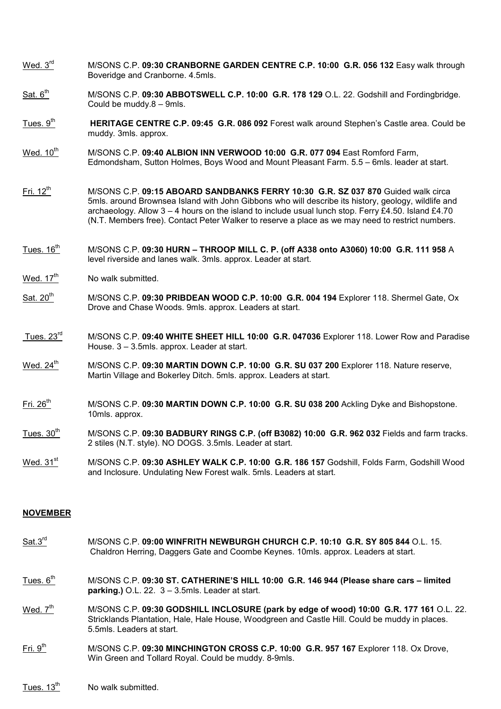- Wed. 3<sup>rd</sup> M/SONS C.P. 09:30 CRANBORNE GARDEN CENTRE C.P. 10:00 G.R. 056 132 Easy walk through Boveridge and Cranborne. 4.5mls.
- Sat. 6<sup>th</sup> M/SONS C.P. 09:30 ABBOTSWELL C.P. 10:00 G.R. 178 129 O.L. 22. Godshill and Fordingbridge. Could be muddy.8 – 9mls.
- Tues.  $9<sup>th</sup>$  HERITAGE CENTRE C.P. 09:45 G.R. 086 092 Forest walk around Stephen's Castle area. Could be muddy. 3mls. approx.
- Wed. 10<sup>th</sup> M/SONS C.P. 09:40 ALBION INN VERWOOD 10:00 G.R. 077 094 East Romford Farm, Edmondsham, Sutton Holmes, Boys Wood and Mount Pleasant Farm. 5.5 – 6mls. leader at start.
- Fri. 12<sup>th</sup> M/SONS C.P. 09:15 ABOARD SANDBANKS FERRY 10:30 G.R. SZ 037 870 Guided walk circa 5mls. around Brownsea Island with John Gibbons who will describe its history, geology, wildlife and archaeology. Allow  $3 - 4$  hours on the island to include usual lunch stop. Ferry £4.50. Island £4.70 (N.T. Members free). Contact Peter Walker to reserve a place as we may need to restrict numbers.
- $Tues. 16<sup>tn</sup>$  M/SONS C.P. 09:30 HURN THROOP MILL C. P. (off A338 onto A3060) 10:00 G.R. 111 958 A level riverside and lanes walk. 3mls. approx. Leader at start.
- Wed.  $17<sup>th</sup>$  No walk submitted.
- $Sat. 20<sup>th</sup>$  M/SONS C.P. 09:30 PRIBDEAN WOOD C.P. 10:00 G.R. 004 194 Explorer 118. Shermel Gate, Ox Drove and Chase Woods. 9mls. approx. Leaders at start.
- Tues.  $23^{\text{rd}}$  M/SONS C.P. 09:40 WHITE SHEET HILL 10:00 G.R. 047036 Explorer 118. Lower Row and Paradise House. 3 – 3.5mls. approx. Leader at start.
- Wed.  $24^{\text{th}}$  M/SONS C.P. 09:30 MARTIN DOWN C.P. 10:00 G.R. SU 037 200 Explorer 118. Nature reserve, Martin Village and Bokerley Ditch. 5mls. approx. Leaders at start.
- $Fit. 26<sup>th</sup>$  M/SONS C.P. 09:30 MARTIN DOWN C.P. 10:00 G.R. SU 038 200 Ackling Dyke and Bishopstone. 10mls. approx.
- Tues.  $30<sup>th</sup>$ M/SONS C.P. 09:30 BADBURY RINGS C.P. (off B3082) 10:00 G.R. 962 032 Fields and farm tracks. 2 stiles (N.T. style). NO DOGS. 3.5mls. Leader at start.
- $W$ ed. 31st M/SONS C.P. 09:30 ASHLEY WALK C.P. 10:00 G.R. 186 157 Godshill, Folds Farm, Godshill Wood and Inclosure. Undulating New Forest walk. 5mls. Leaders at start.

#### NOVEMBER

- Sat.3<sup>rd</sup> M/SONS C.P. 09:00 WINFRITH NEWBURGH CHURCH C.P. 10:10 G.R. SY 805 844 O.L. 15. Chaldron Herring, Daggers Gate and Coombe Keynes. 10mls. approx. Leaders at start.
- Tues.  $6<sup>th</sup>$  M/SONS C.P. 09:30 ST. CATHERINE'S HILL 10:00 G.R. 146 944 (Please share cars limited **parking.)** O.L. 22.  $3 - 3.5$ mls. Leader at start.
- Wed.  $7^{\text{m}}$  M/SONS C.P. 09:30 GODSHILL INCLOSURE (park by edge of wood) 10:00 G.R. 177 161 O.L. 22. Stricklands Plantation, Hale, Hale House, Woodgreen and Castle Hill. Could be muddy in places. 5.5mls. Leaders at start.
- $Fit. 9<sup>th</sup>$  M/SONS C.P. 09:30 MINCHINGTON CROSS C.P. 10:00 G.R. 957 167 Explorer 118. Ox Drove, Win Green and Tollard Royal. Could be muddy. 8-9mls.
- Tues.  $13<sup>th</sup>$  No walk submitted.